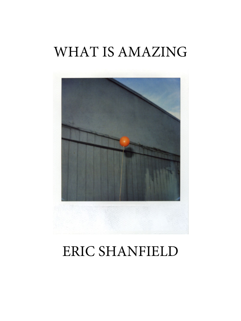

# ERIC SHANFIELD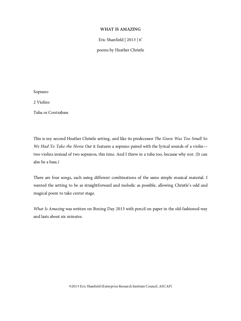Eric Shanfield | 2013 | 6'

poems by Heather Christle

Soprano

2 Violins

Tuba or Contrabass

This is my second Heather Christle setting, and like its predecessor *The Grave Was Too Small So We Had To Take the Horse Out* it features a soprano paired with the lyrical sounds of a violin two violins instead of two sopranos, this time. And I threw in a tuba too, because why not. (It can also be a bass.)

There are four songs, each using different combinations of the same simple musical material. I wanted the setting to be as straightforward and melodic as possible, allowing Christle's odd and magical poem to take center stage.

*What Is Amazing* was written on Boxing Day 2013 with pencil on paper in the old-fashioned way and lasts about six minutes.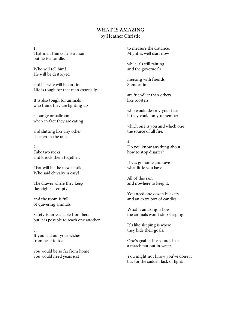#### **WHAT IS AMAZING** by Heather Christle

1. That man thinks he is a man but he is a candle.

Who will tell him? He will be destroyed

and his wife will be on fire. Life is tough for that man especially.

It is also tough for animals who think they are lighting up

a lounge or ballroom when in fact they are eating

and shitting like any other chicken in the rain.

2. Take two rocks and knock them together.

That will be the new candle. Who said chivalry is easy?

The drawer where they keep flashlights is empty

and the room is full of quivering animals.

Safety is unreachable from here but it is possible to reach one another.

3. If you laid out your wishes from head to toe

you would be so far from home you would need years just

to measure the distance. Might as well start now

while it's still raining and the governor's

meeting with friends. Some animals

are friendlier than others like roosters

who would destroy your face if they could only remember

which one is you and which one the source of all fire.

4. Do you know anything about how to stop disaster?

If yes go home and save what little you have.

All of this rain and nowhere to keep it.

You need one dozen buckets and an extra box of candles.

What is amazing is how the animals won't stop sleeping.

It's like sleeping is where they hide their goals.

One's goal in life sounds like a match put out in water.

You might not know you've done it but for the sudden lack of light.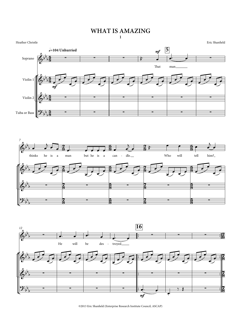Heather Christle Eric Shanfield

ו<br>⊓ ¢ Soprano Violin 1 Violin 2 Tuba or Bass That mf man  $\frac{1}{m}$ =104 Unhurried **5**  $m$  $\frac{5}{2}$ <u>ទិ</u>  $\frac{5}{2}$ <u>ទិ</u>  $\frac{5}{2}$ <u>58</u><br>8  $\frac{5}{2}$ <u>58</u><br>8 **ta** b b ∑ ∑ ∑ ∑  $\overline{\mathbb{P}}$ b b  $\overline{\mathbb{Q}^{\flat}}$ b b ∑ ∑ ∑ ∑ ∑ ∑  $\mathfrak{P}_{\flat}$ b b ∑ ∑ ∑ ∑ ∑ ∑  $\ddot{\epsilon}$  e $\ddot{\epsilon}$  $\mathbf{E}$  $\mathcal{L}$  $\mathcal{L}$  $\mathcal{L}$  $\mathcal{L}$  $\mathcal{L}$  $\bigoplus$ 





©2013 Eric Shanfield (Enterprise Research Institute Council, ASCAP)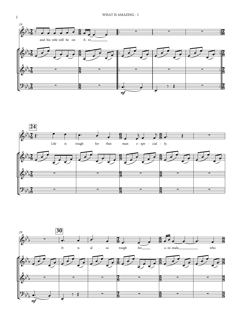





2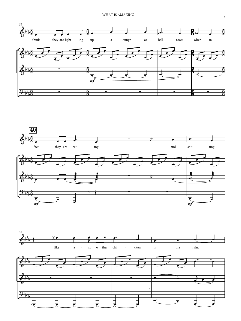



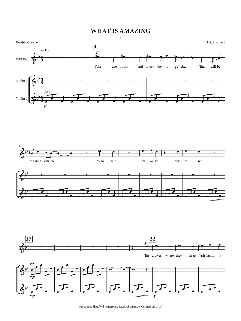





©2013 Eric Shanfield (Enterprise Research Institute Council, ASCAP)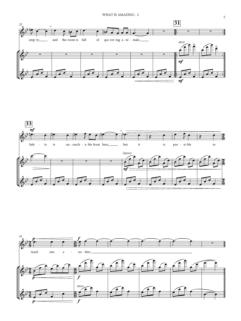



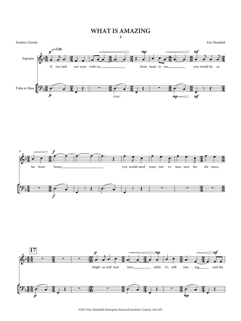° ¢ Soprano Tuba or Bass If you laid p q**=126** out your wish-es. mp from head to toe.  $\boldsymbol{m}$ would be so  $p$  *cresc.*  $mp \leq m$  $\frac{5}{2}$ <u>ទិ</u> <u>2</u> 4  $\frac{5}{2}$ <u>ទិ</u> 2<br>2  $\frac{2}{4}$  $\frac{5}{2}$ <u>ទិ</u>  $\overline{6}$ <u>ե</u><br>8 <u>2</u> 4  $\frac{5}{2}$ <u>ծ</u><br>8 <u>2</u>  $\frac{2}{4}$  $\frac{5}{2}$ <u>ծ</u><br>8 <u>2</u>  $\frac{2}{4}$  $\frac{5}{2}$ <u>ទិ</u>  $\frac{6}{2}$ <u>ե</u><br>8 2 4 **A** Heather Christle Eric Shanfield  $\frac{6}{2}$  .  $\frac{2}{4}$  .  $\frac{2}{8}$  .  $\frac{2}{8}$  .  $\frac{2}{4}$  .  $\frac{2}{8}$  .  $\frac{2}{8}$  .  $\frac{2}{8}$ œ œ  $\frac{2}{4}$  e  $\frac{5}{8}$  e  $\frac{2}{4}$  e  $\frac{5}{4}$  e  $\frac{5}{8}$  e  $\frac{6}{8}$  $\overrightarrow{a}$  $\overline{b}$  $\frac{2}{4}$   $\frac{2}{8}$   $\frac{2}{4}$   $\frac{2}{8}$   $\frac{2}{4}$   $\frac{3}{8}$   $\frac{6}{8}$   $\frac{7}{8}$ 



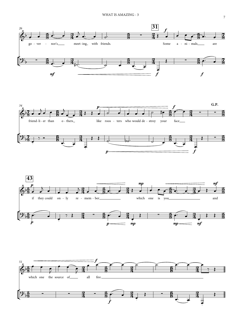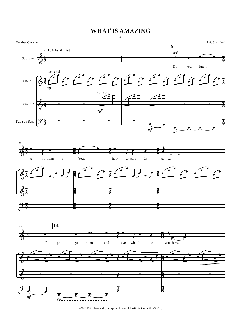mf



"'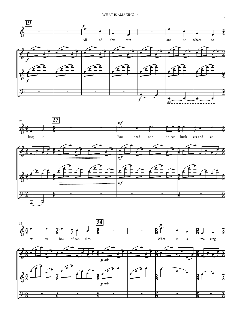



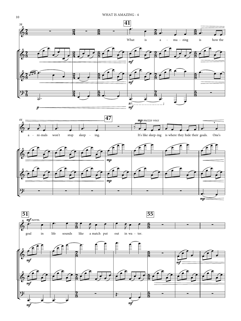

<u>ទិ</u>

 $\sum_{m}$ 



¢

 $\frac{m f}{m f}$ 

8

œ™ œ œ™ œ